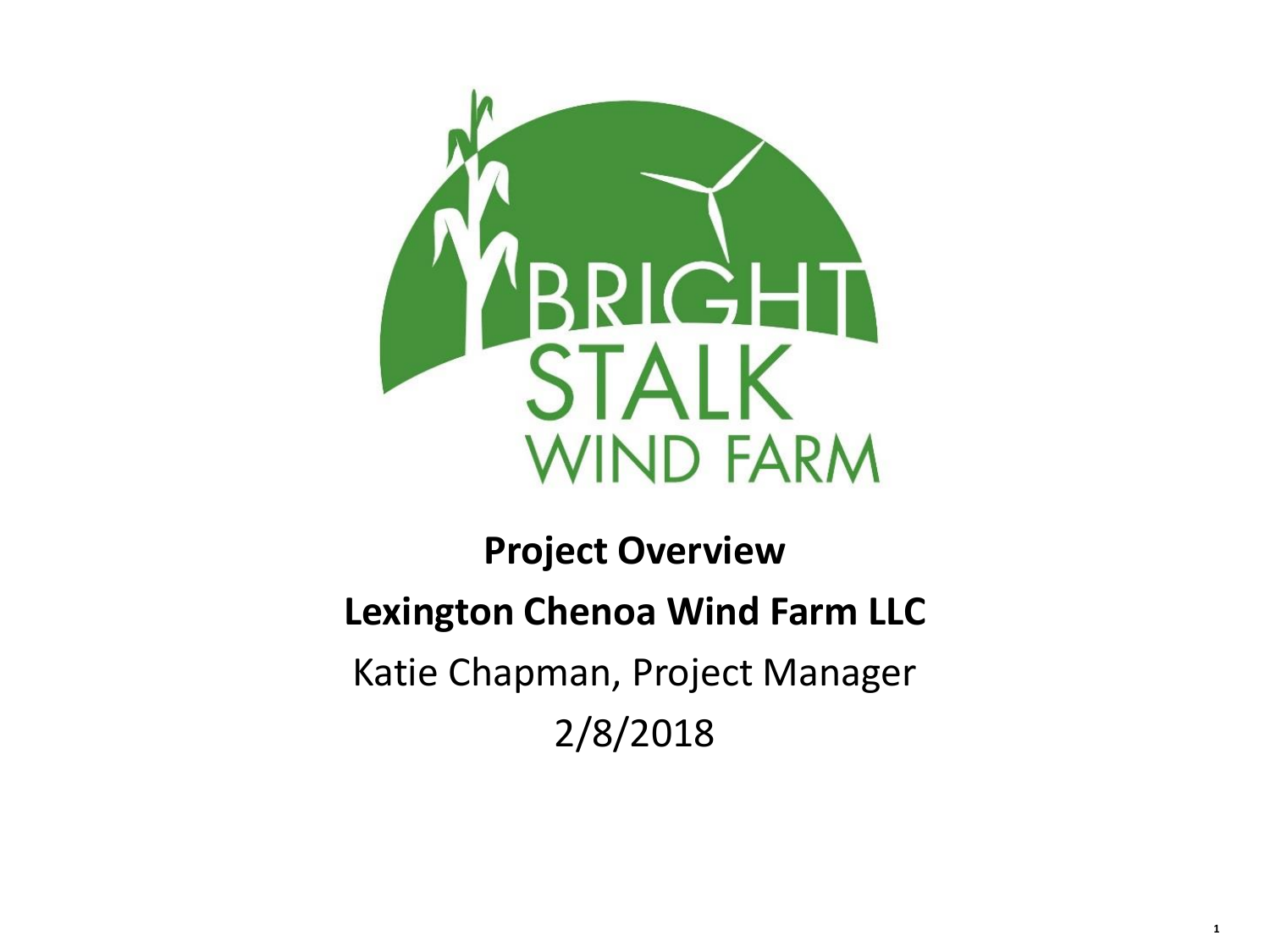

# **Project Overview Lexington Chenoa Wind Farm LLC** Katie Chapman, Project Manager 2/8/2018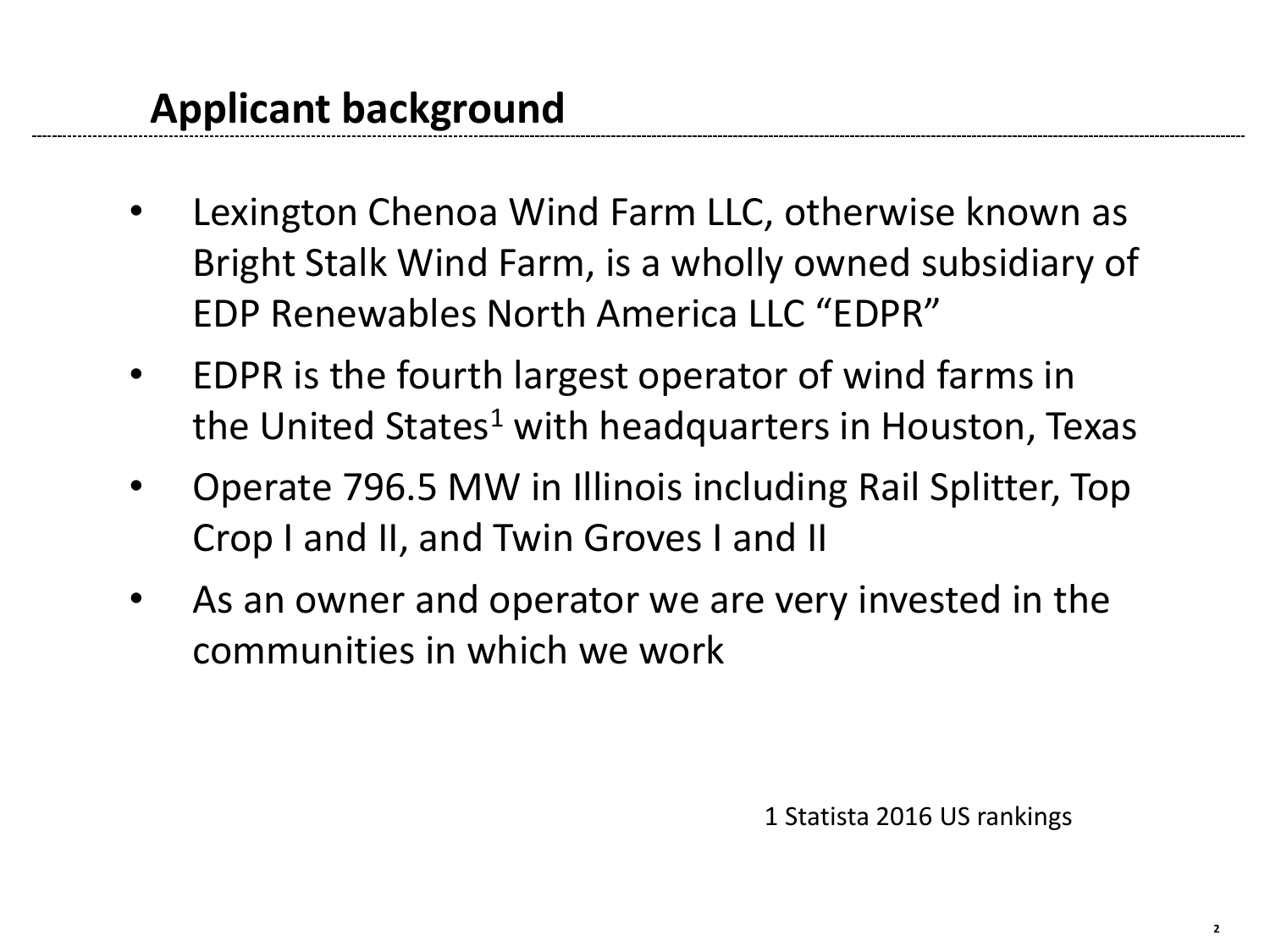- Lexington Chenoa Wind Farm LLC, otherwise known as Bright Stalk Wind Farm, is a wholly owned subsidiary of EDP Renewables North America LLC "EDPR"
- EDPR is the fourth largest operator of wind farms in the United States<sup>1</sup> with headquarters in Houston, Texas
- Operate 796.5 MW in Illinois including Rail Splitter, Top Crop I and II, and Twin Groves I and II
- As an owner and operator we are very invested in the communities in which we work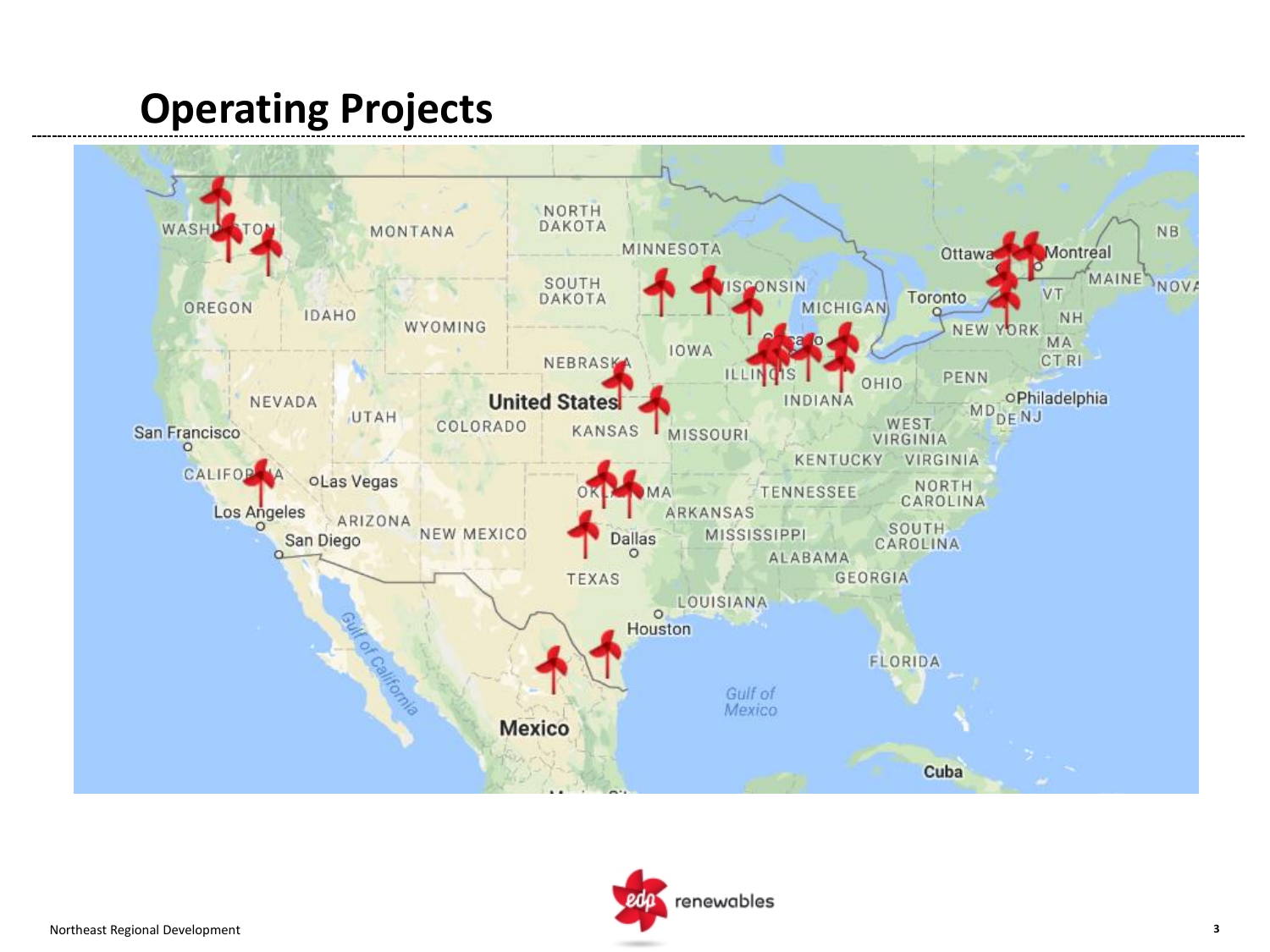## **Operating Projects**



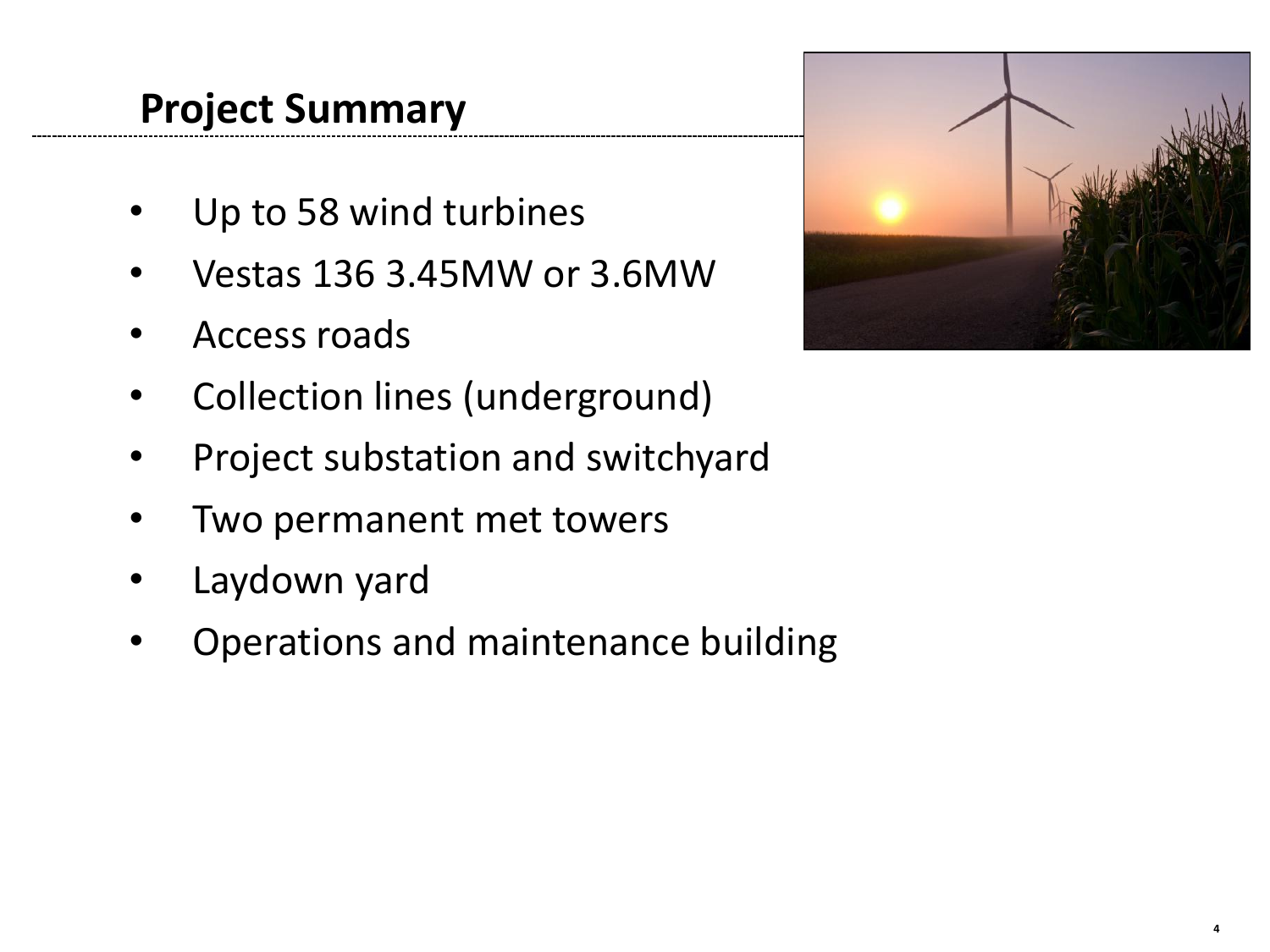## **Project Summary**

- Up to 58 wind turbines
- Vestas 136 3.45MW or 3.6MW
- Access roads
- Collection lines (underground)
- Project substation and switchyard
- Two permanent met towers
- Laydown yard
- Operations and maintenance building

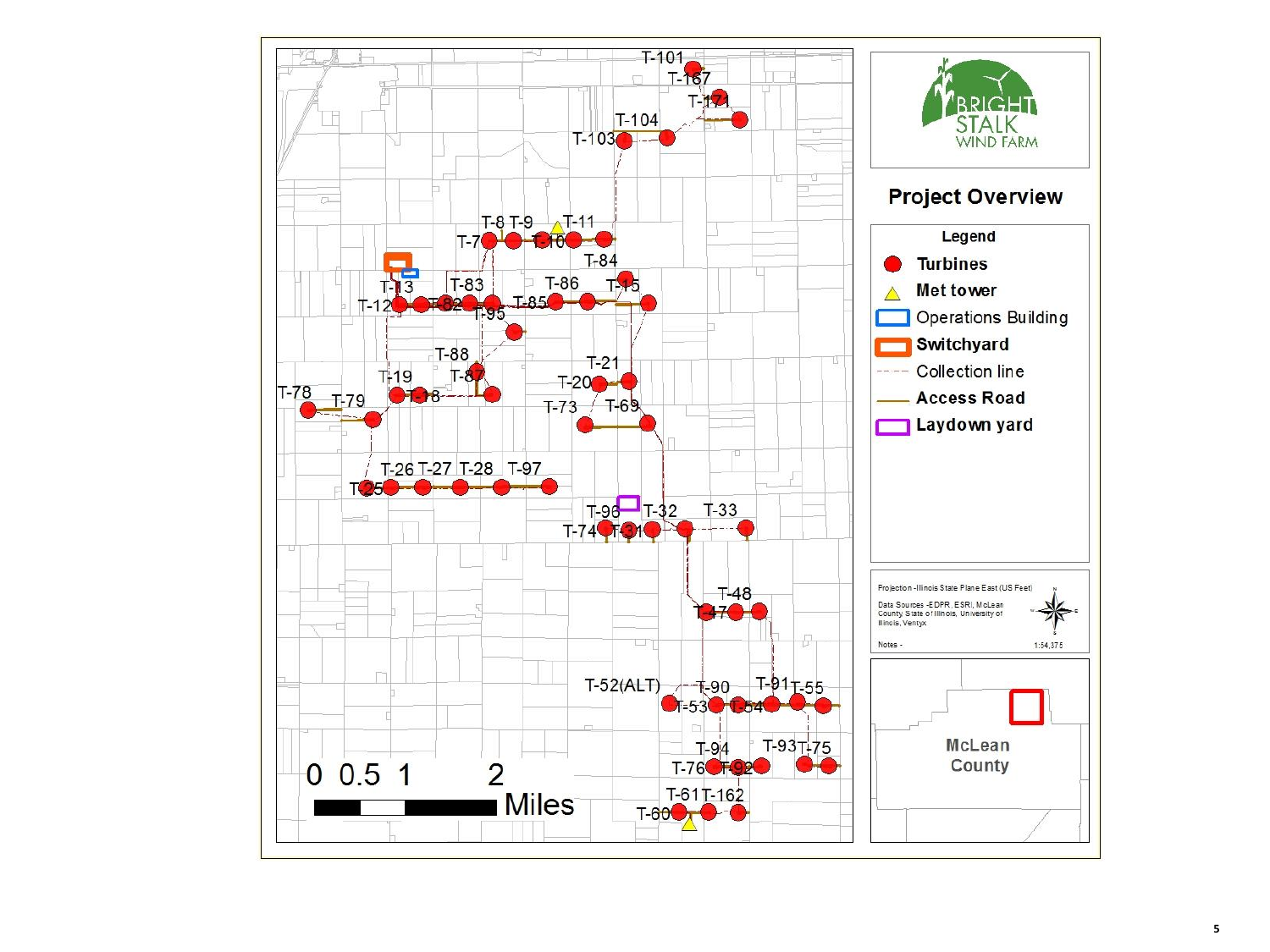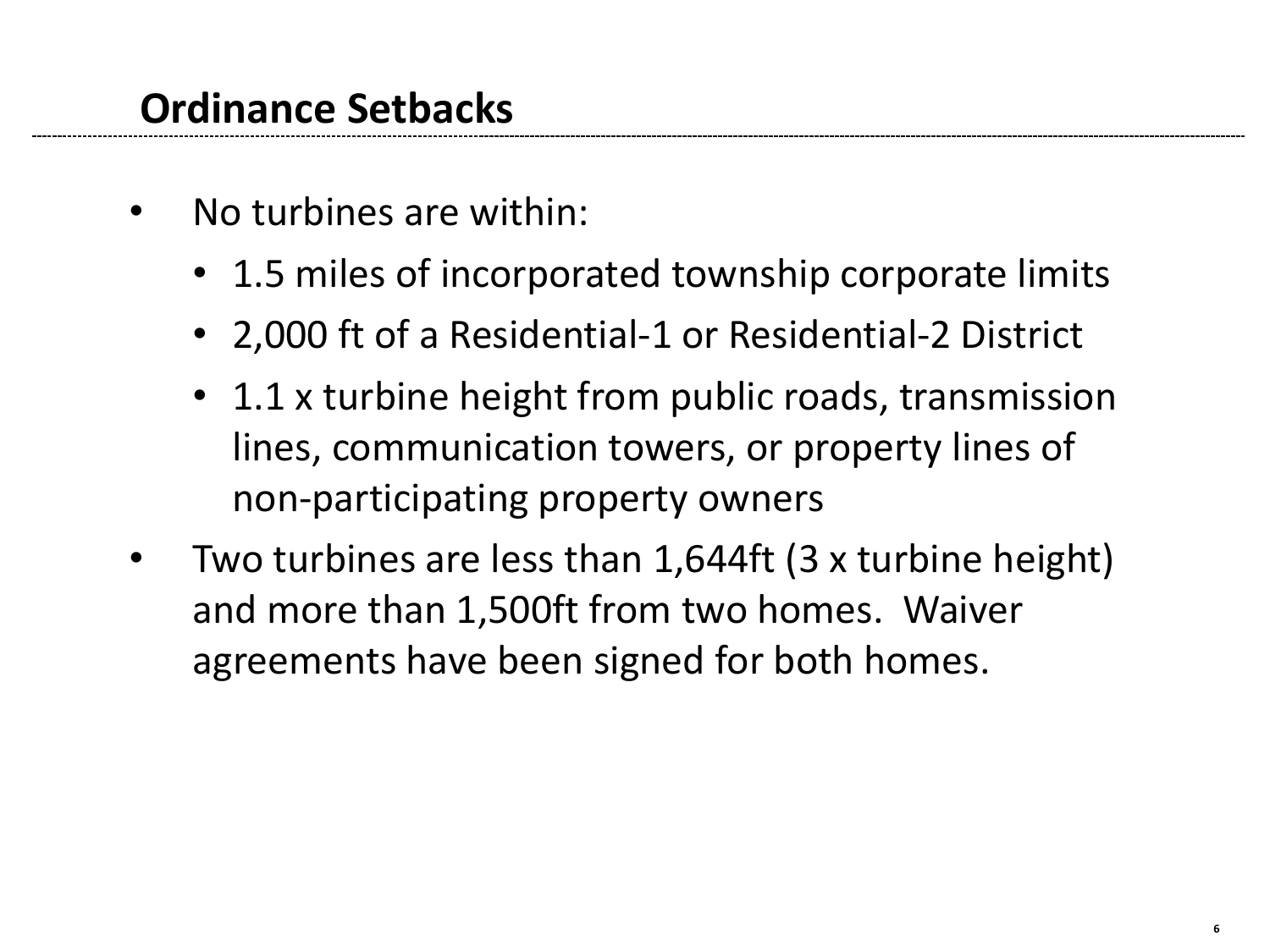#### **Ordinance Setbacks**

- No turbines are within:
	- 1.5 miles of incorporated township corporate limits
	- 2,000 ft of a Residential-1 or Residential-2 District
	- 1.1 x turbine height from public roads, transmission lines, communication towers, or property lines of non-participating property owners
- Two turbines are less than 1,644ft (3 x turbine height) and more than 1,500ft from two homes. Waiver agreements have been signed for both homes.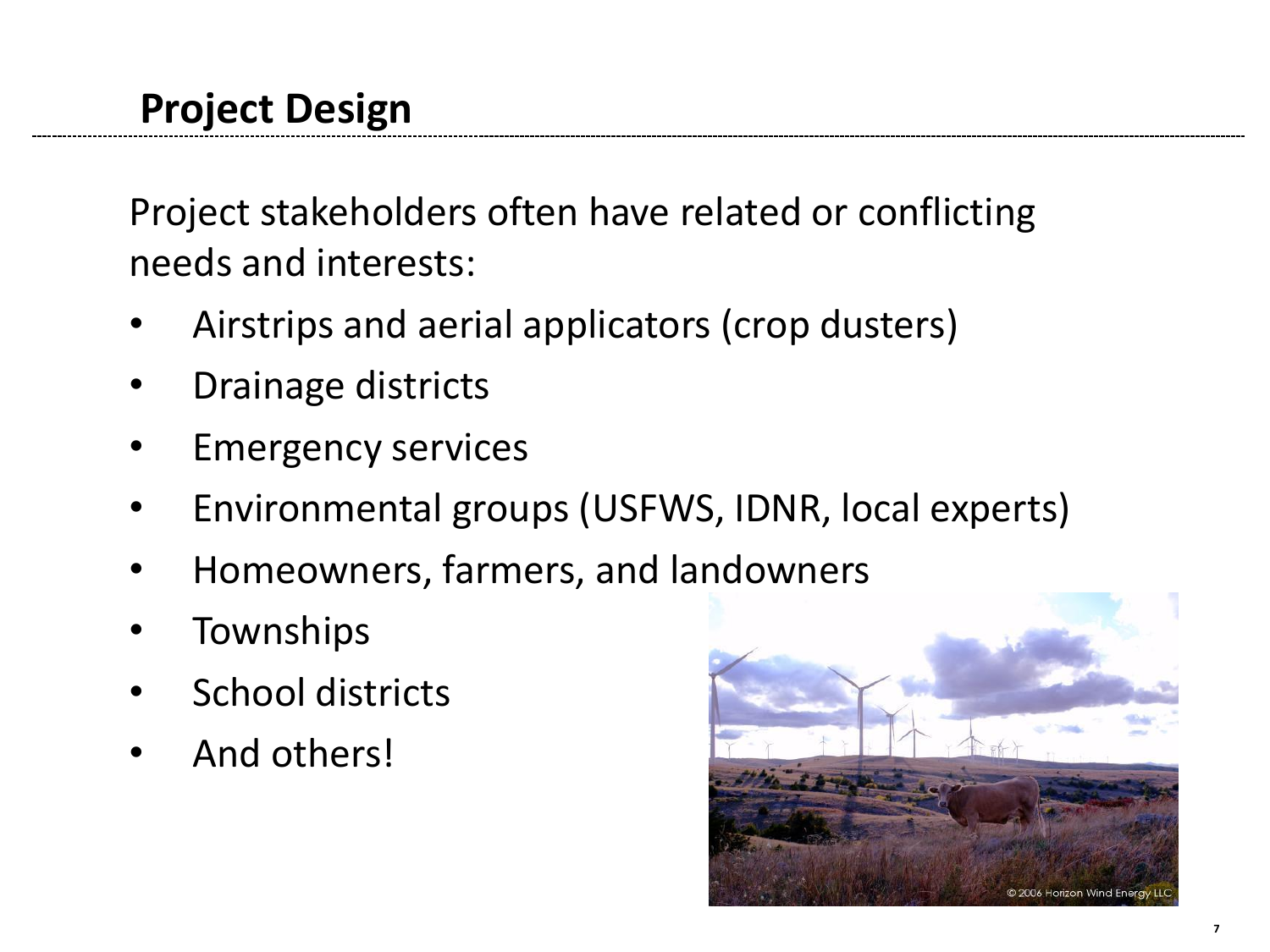Project stakeholders often have related or conflicting needs and interests:

- Airstrips and aerial applicators (crop dusters)
- Drainage districts
- Emergency services
- Environmental groups (USFWS, IDNR, local experts)
- Homeowners, farmers, and la[ndowners](http://myedprna.corp.org/myDepartments/Communications/CorporatePhotos/Blue Canyon/hwbcd071 [1280].jpg)
- Townships
- School districts
- And others!

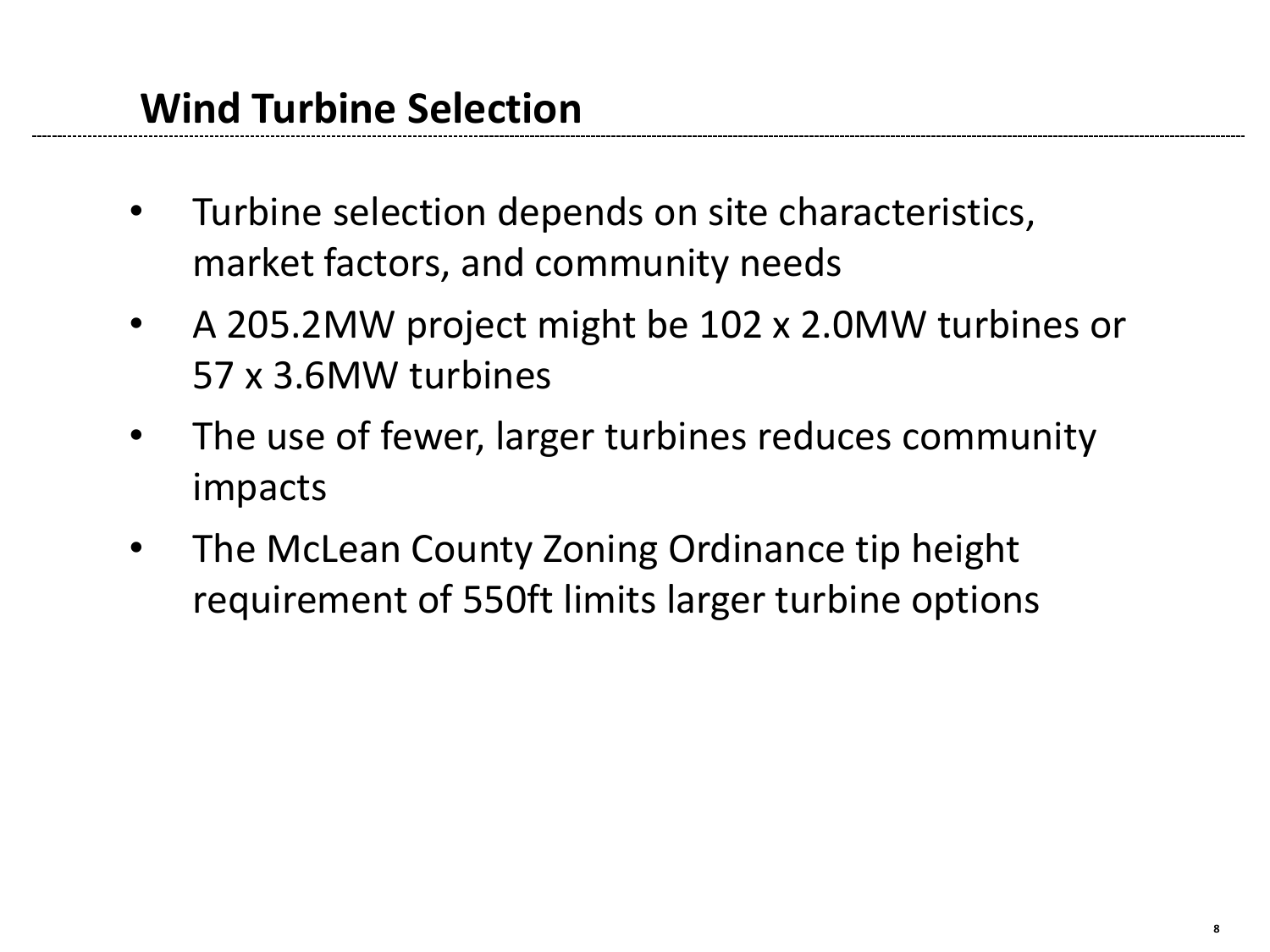- Turbine selection depends on site characteristics, market factors, and community needs
- A 205.2MW project might be 102 x 2.0MW turbines or 57 x 3.6MW turbines
- The use of fewer, larger turbines reduces community impacts
- The McLean County Zoning Ordinance tip height requirement of 550ft limits larger turbine options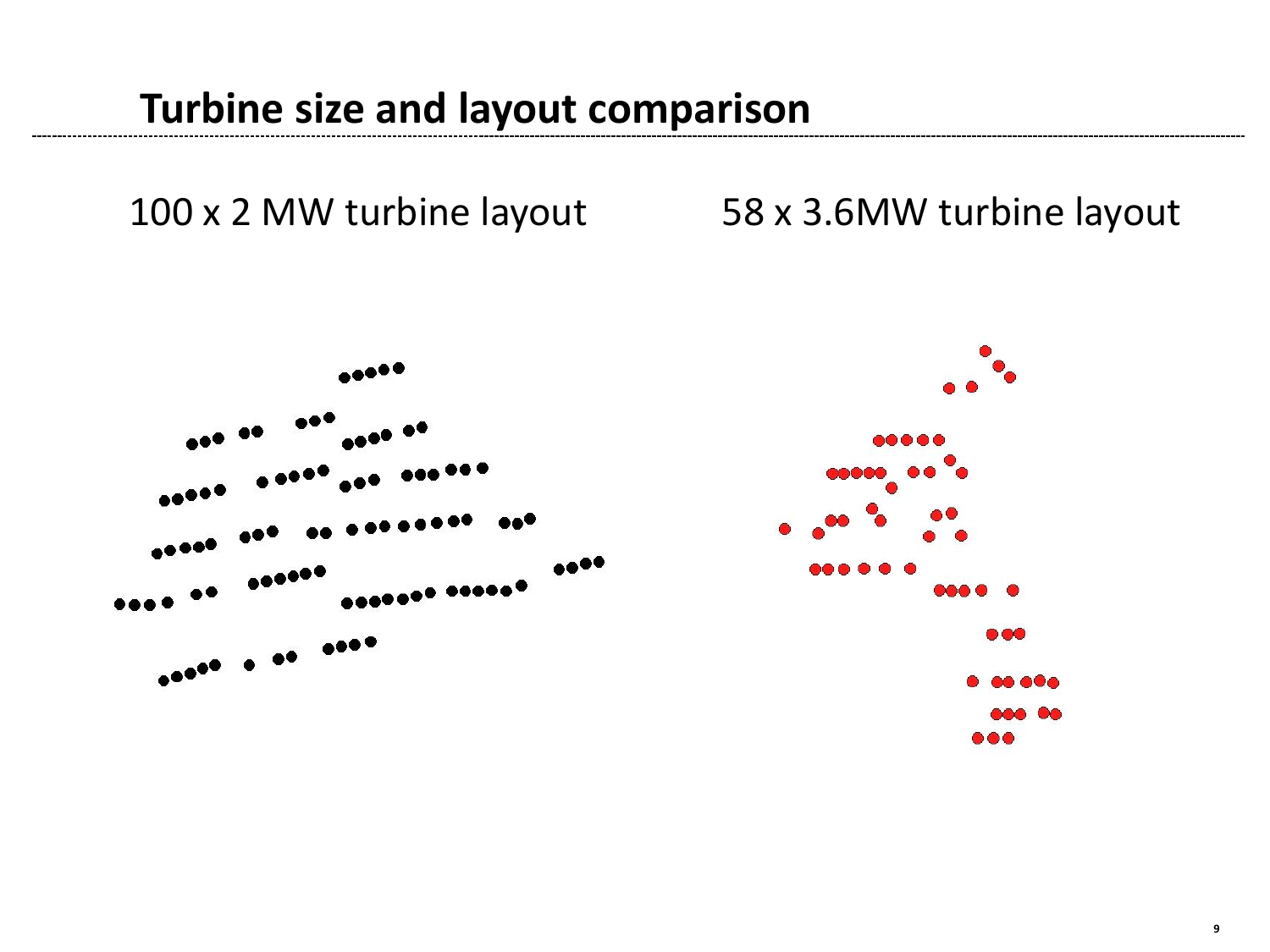#### **Turbine size and layout comparison**

100 x 2 MW turbine layout 58 x 3.6MW turbine layout

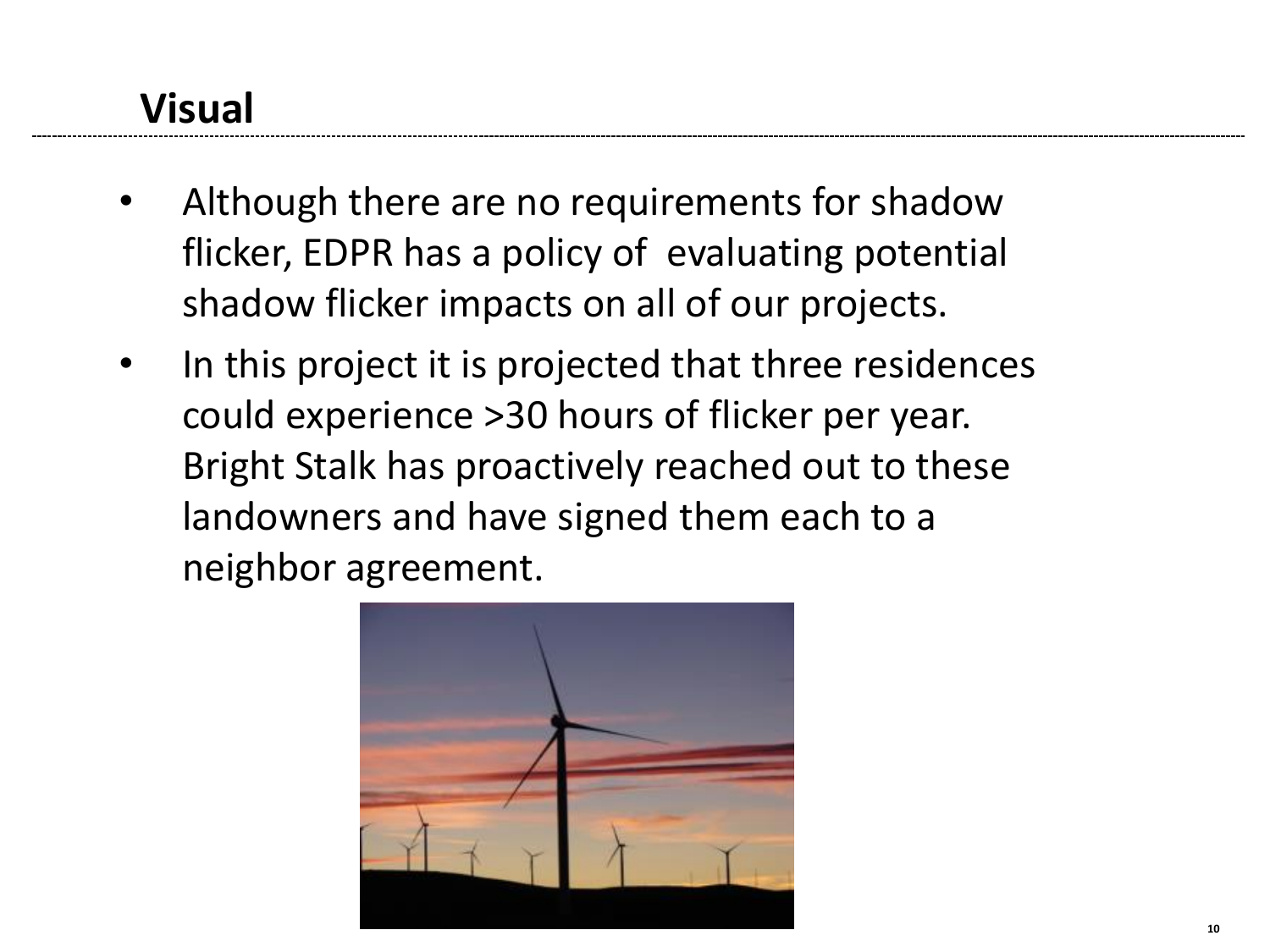# **Visual**

- Although there are no requirements for shadow flicker, EDPR has a policy of evaluating potential shadow flicker impacts on all of our projects.
- In this project it is projected that three residences could experience >30 hours of flicker per year. Bright Stalk has proactively reached out to these landowners and have signed them each to a neighbor agreement.

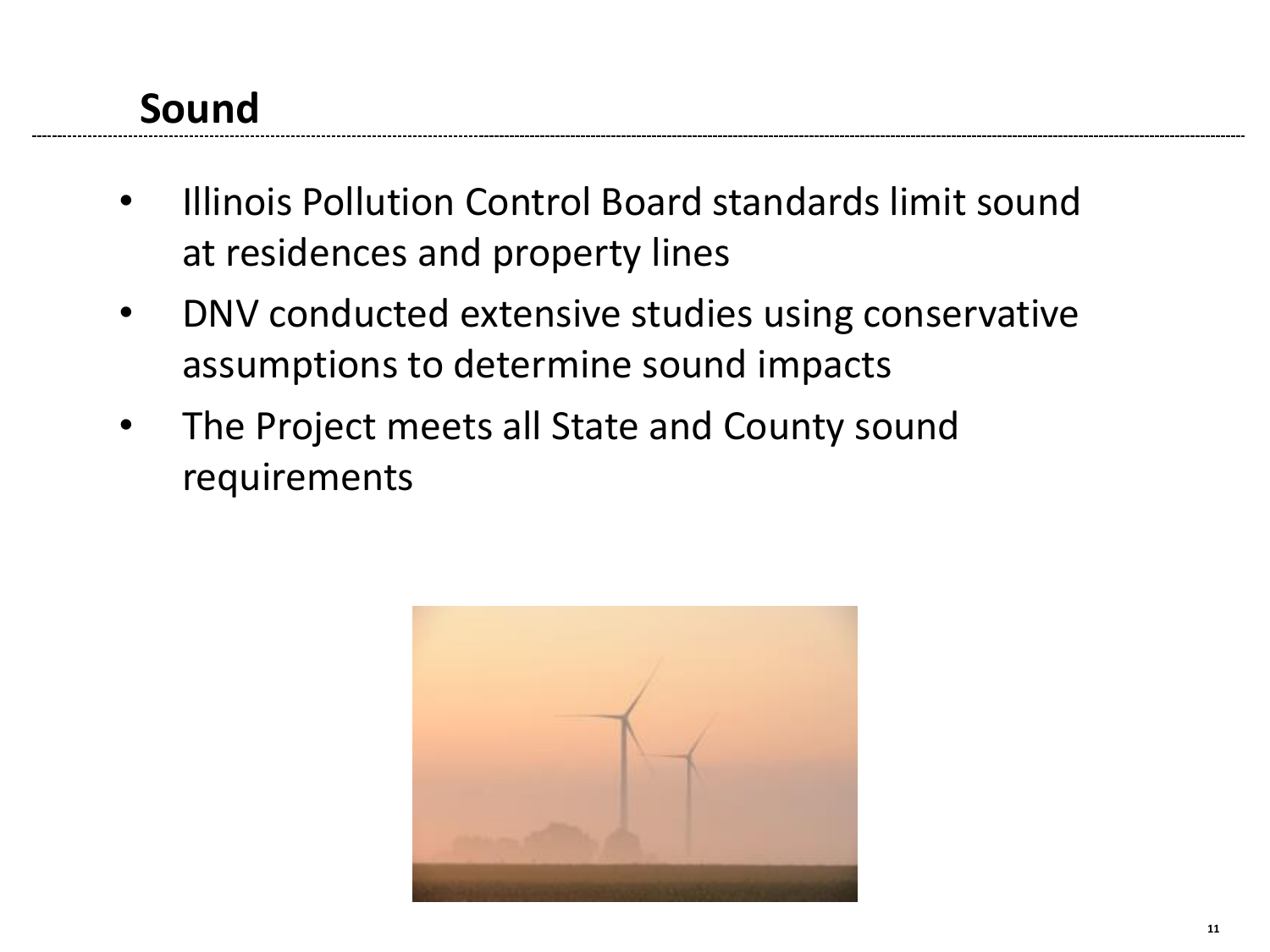## **Sound**

- Illinois Pollution Control Board standards limit sound at residences and property lines
- DNV conducted extensive studies using conservative assumptions to determine sound impacts
- The Project meets all State and County sound requirements

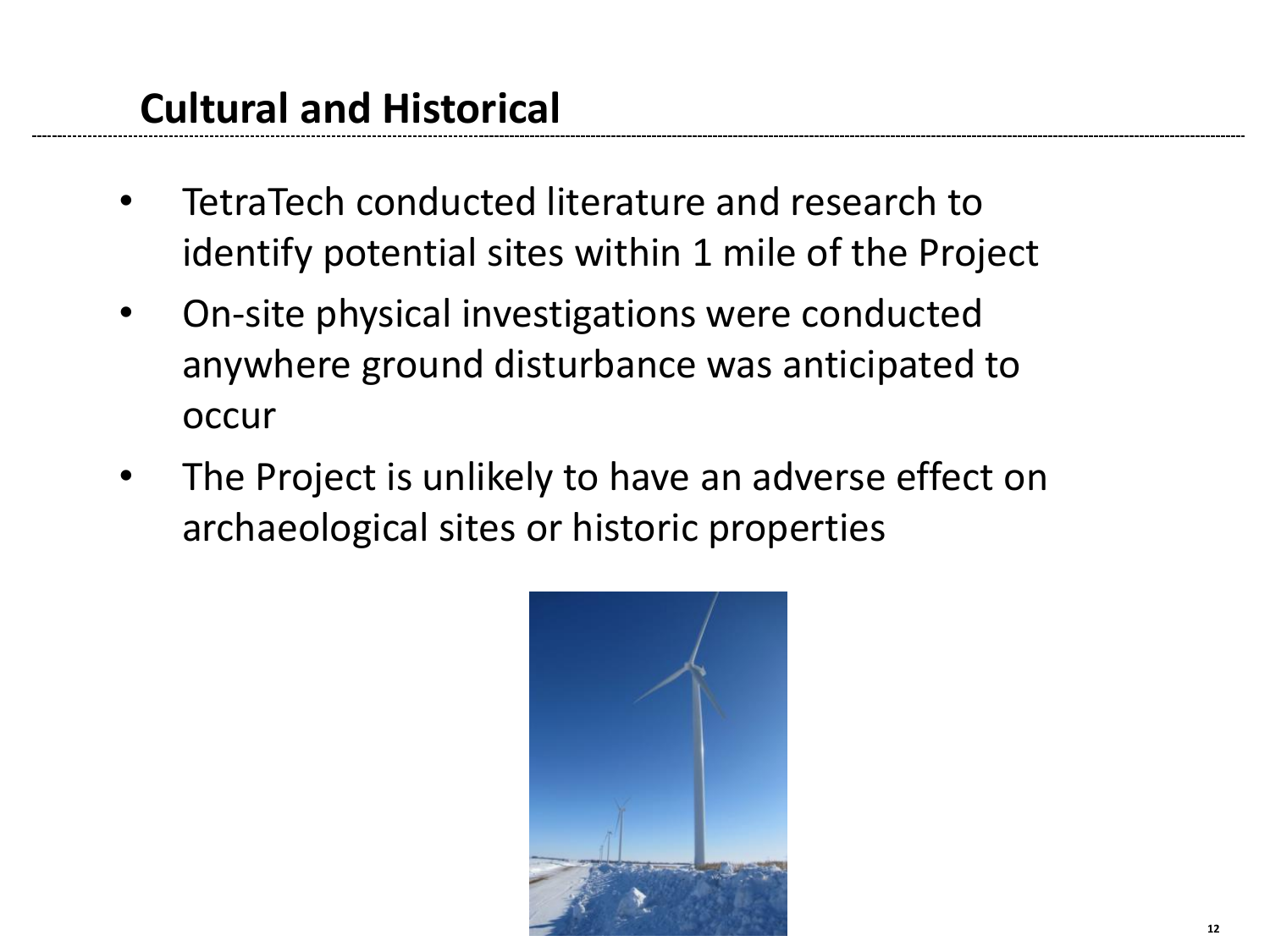#### **Cultural and Historical**

- TetraTech conducted literature and research to identify potential sites within 1 mile of the Project
- On-site physical investigations were conducted anywhere ground disturbance was anticipated to occur
- The Project is unlikely to have an adverse effect on archaeological sites or historic properties

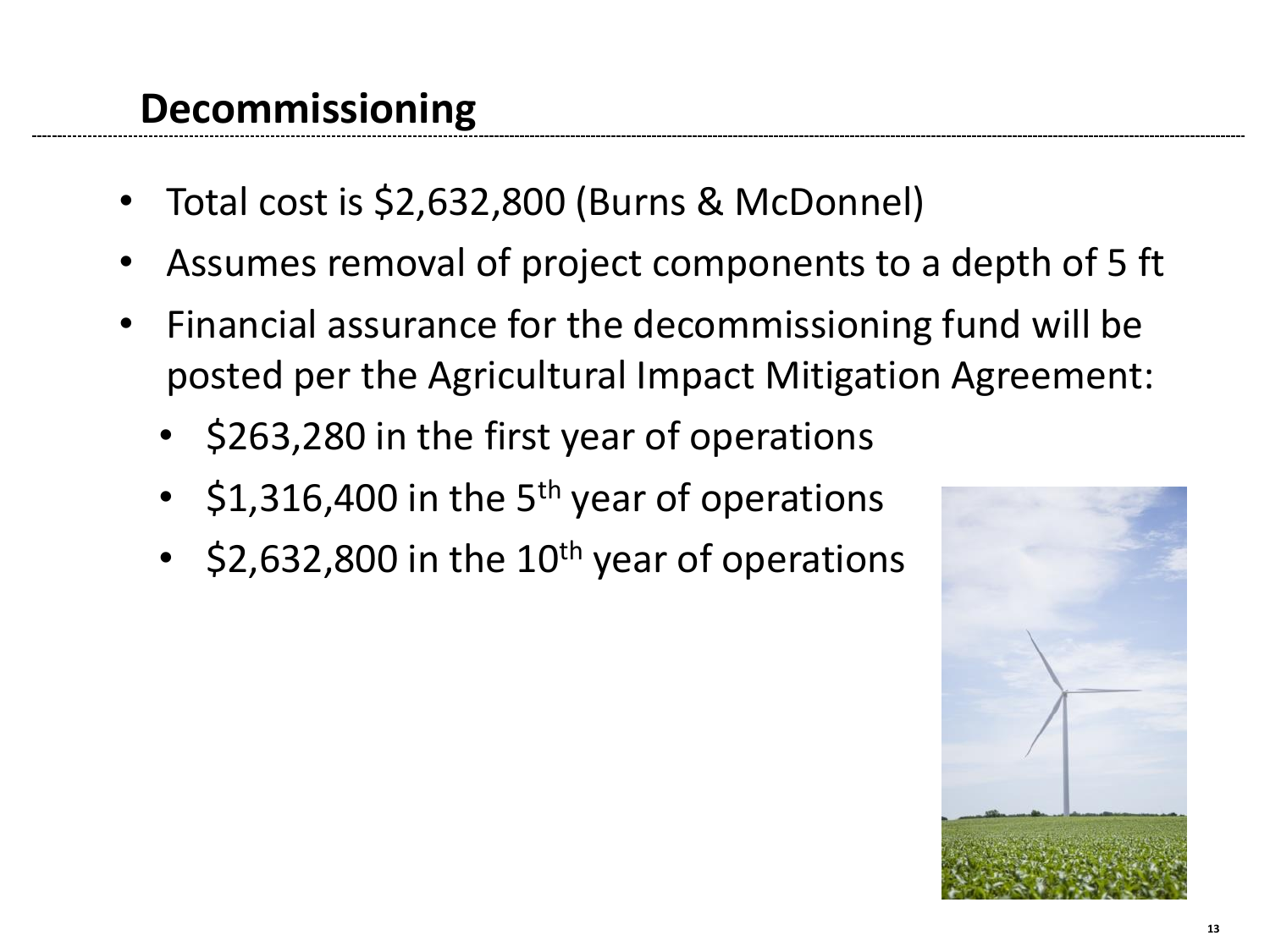#### **Decommissioning**

- Total cost is \$2,632,800 (Burns & McDonnel)
- Assumes removal of project components to a depth of 5 ft
- Financial assurance for the decommissioning fund will be posted per the Agricultural Impact Mitigation Agreement:
	- \$263,280 in the first year of operations
	- $$1,316,400$  in the 5<sup>th</sup> year of operations
	- $$2,632,800$  in the  $10^{th}$  year of operations

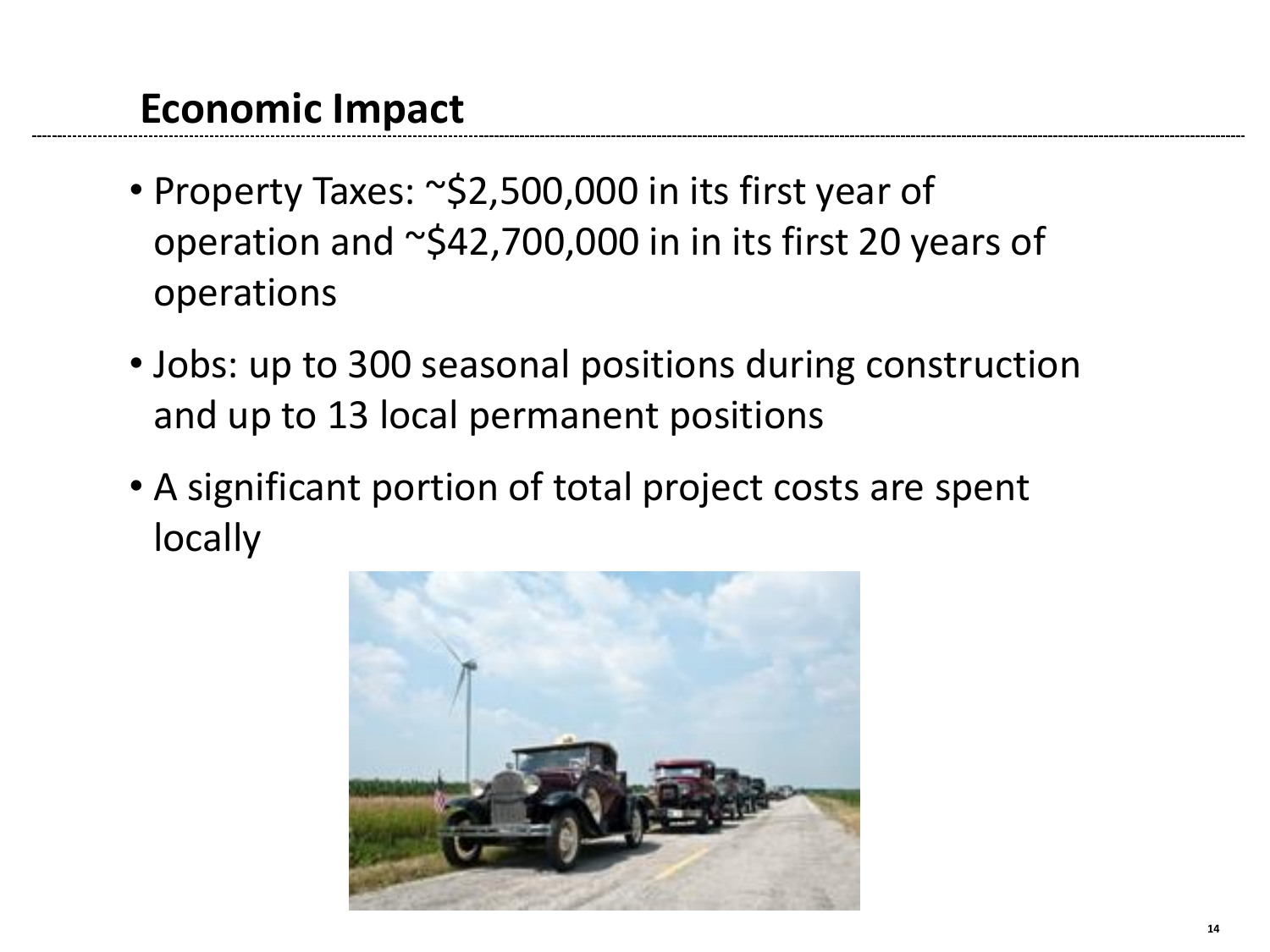#### **Economic Impact**

- Property Taxes: ~\$2,500,000 in its first year of operation and ~\$42,700,000 in in its first 20 years of operations
- Jobs: up to 300 seasonal positions during construction and up to 13 local permanent positions
- A significant portion of total project costs are spent locally

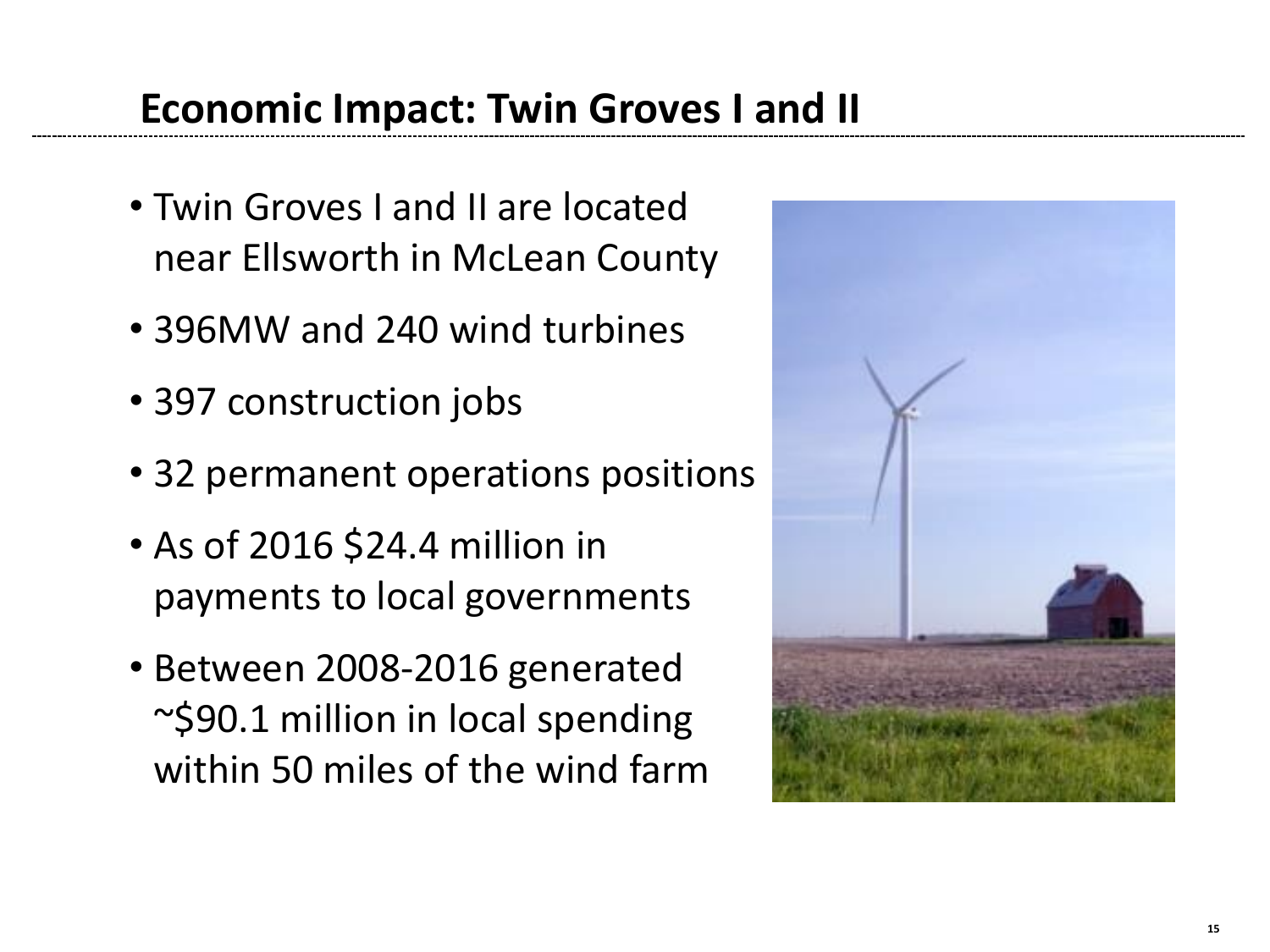#### **Economic Impact: Twin Groves I and II**

- Twin Groves I and II are located near Ellsworth in McLean County
- 396MW and 240 wind turbines
- 397 construction jobs
- 32 permanent operations positions
- As of 2016 \$24.4 million in payments to local governments
- Between 2008-2016 generated ~\$90.1 million in local spending within 50 miles of the wind farm